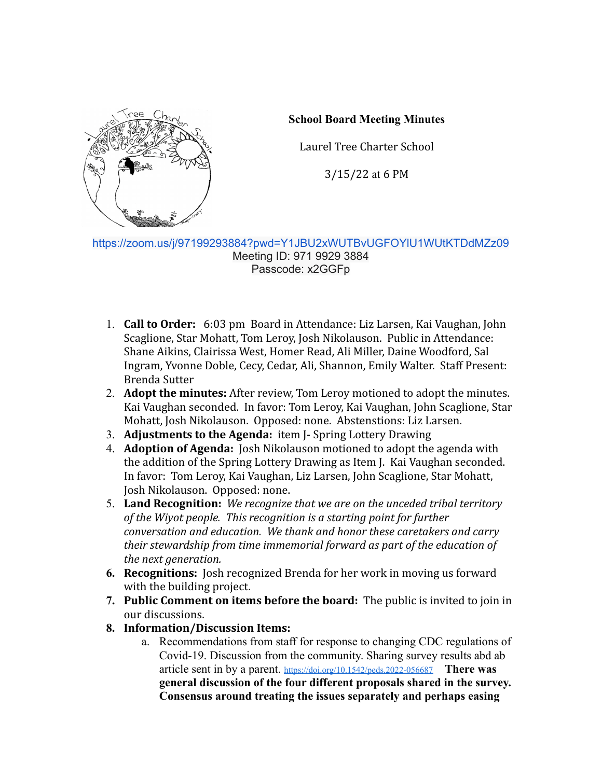

## **School Board Meeting Minutes**

Laurel Tree Charter School

3/15/22 at 6 PM

<https://zoom.us/j/97199293884?pwd=Y1JBU2xWUTBvUGFOYlU1WUtKTDdMZz09> Meeting ID: 971 9929 3884 Passcode: x2GGFp

- 1. **Call to Order:** 6:03 pm Board in Attendance: Liz Larsen, Kai Vaughan, John Scaglione, Star Mohatt, Tom Leroy, Josh Nikolauson. Public in Attendance: Shane Aikins, Clairissa West, Homer Read, Ali Miller, Daine Woodford, Sal Ingram, Yvonne Doble, Cecy, Cedar, Ali, Shannon, Emily Walter. Staff Present: Brenda Sutter
- 2. **Adopt the minutes:** After review, Tom Leroy motioned to adopt the minutes. Kai Vaughan seconded. In favor: Tom Leroy, Kai Vaughan, John Scaglione, Star Mohatt, Josh Nikolauson. Opposed: none. Abstenstions: Liz Larsen.
- 3. **Adjustments to the Agenda:** item J- Spring Lottery Drawing
- 4. **Adoption of Agenda:** Josh Nikolauson motioned to adopt the agenda with the addition of the Spring Lottery Drawing as Item J. Kai Vaughan seconded. In favor: Tom Leroy, Kai Vaughan, Liz Larsen, John Scaglione, Star Mohatt, Josh Nikolauson. Opposed: none.
- 5. **Land Recognition:** *We recognize that we are on the unceded tribal territory of the Wiyot people. This recognition is a starting point for further conversation and education. We thank and honor these caretakers and carry their stewardship from time immemorial forward as part of the education of the next generation.*
- **6. Recognitions:** Josh recognized Brenda for her work in moving us forward with the building project.
- **7. Public Comment on items before the board:** The public is invited to join in our discussions.
- **8. Information/Discussion Items:**
	- a. Recommendations from staff for response to changing CDC regulations of Covid-19. Discussion from the community. Sharing survey results abd ab article sent in by a parent. <https://doi.org/10.1542/peds.2022-056687> **There was general discussion of the four different proposals shared in the survey. Consensus around treating the issues separately and perhaps easing**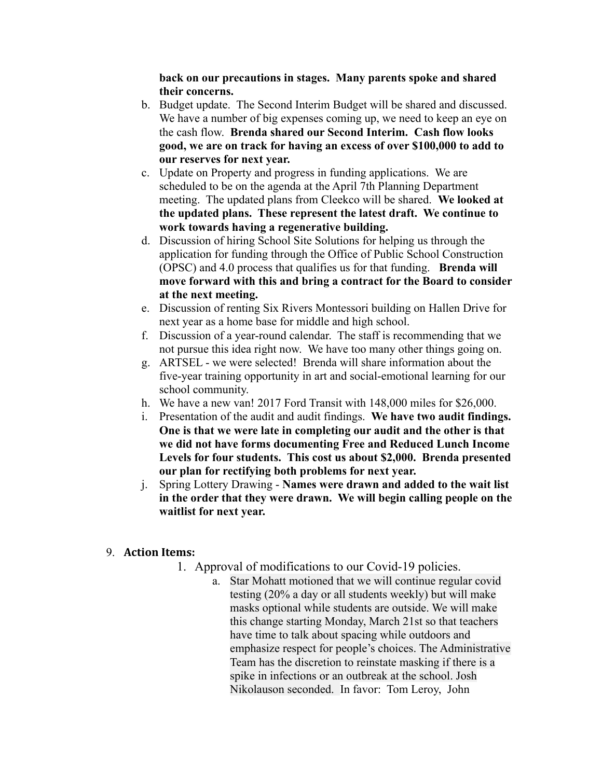**back on our precautions in stages. Many parents spoke and shared their concerns.**

- b. Budget update. The Second Interim Budget will be shared and discussed. We have a number of big expenses coming up, we need to keep an eye on the cash flow. **Brenda shared our Second Interim. Cash flow looks good, we are on track for having an excess of over \$100,000 to add to our reserves for next year.**
- c. Update on Property and progress in funding applications. We are scheduled to be on the agenda at the April 7th Planning Department meeting. The updated plans from Cleekco will be shared. **We looked at the updated plans. These represent the latest draft. We continue to work towards having a regenerative building.**
- d. Discussion of hiring School Site Solutions for helping us through the application for funding through the Office of Public School Construction (OPSC) and 4.0 process that qualifies us for that funding. **Brenda will move forward with this and bring a contract for the Board to consider at the next meeting.**
- e. Discussion of renting Six Rivers Montessori building on Hallen Drive for next year as a home base for middle and high school.
- f. Discussion of a year-round calendar. The staff is recommending that we not pursue this idea right now. We have too many other things going on.
- g. ARTSEL we were selected! Brenda will share information about the five-year training opportunity in art and social-emotional learning for our school community.
- h. We have a new van! 2017 Ford Transit with 148,000 miles for \$26,000.
- i. Presentation of the audit and audit findings. **We have two audit findings. One is that we were late in completing our audit and the other is that we did not have forms documenting Free and Reduced Lunch Income Levels for four students. This cost us about \$2,000. Brenda presented our plan for rectifying both problems for next year.**
- j. Spring Lottery Drawing **Names were drawn and added to the wait list in the order that they were drawn. We will begin calling people on the waitlist for next year.**

## 9. **Action Items:**

- 1. Approval of modifications to our Covid-19 policies.
	- a. Star Mohatt motioned that we will continue regular covid testing (20% a day or all students weekly) but will make masks optional while students are outside. We will make this change starting Monday, March 21st so that teachers have time to talk about spacing while outdoors and emphasize respect for people's choices. The Administrative Team has the discretion to reinstate masking if there is a spike in infections or an outbreak at the school. Josh Nikolauson seconded. In favor: Tom Leroy, John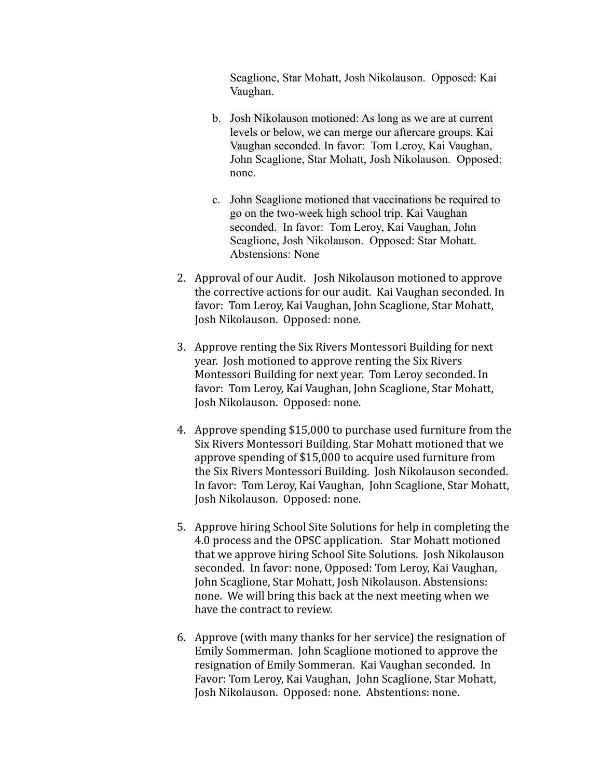Scaglione, Star Mohatt, Josh Nikolauson. Opposed: Kai Vaughan.

- b. Josh Nikolauson motioned: As long as we are at current levels or below, we can merge our aftercare groups. Kai Vaughan seconded. In favor: Tom Leroy, Kai Vaughan, John Scaglione, Star Mohatt, Josh Nikolauson. Opposed: none.
- c. John Scaglione motioned that vaccinations be required to go on the two-week high school trip. Kai Vaughan seconded. In favor: Tom Leroy, Kai Vaughan, John Scaglione, Josh Nikolauson. Opposed: Star Mohatt. Abstensions: None
- 2. Approval of our Audit. Josh Nikolauson motioned to approve the corrective actions for our audit. Kai Vaughan seconded. In favor: Tom Leroy, Kai Vaughan, John Scaglione, Star Mohatt, Josh Nikolauson. Opposed: none.
- 3. Approve renting the Six Rivers Montessori Building for next year. Josh motioned to approve renting the Six Rivers Montessori Building for next year. Tom Leroy seconded. In favor: Tom Leroy, Kai Vaughan, John Scaglione, Star Mohatt, Josh Nikolauson. Opposed: none.
- 4. Approve spending \$15,000 to purchase used furniture from the Six Rivers Montessori Building. Star Mohatt motioned that we approve spending of \$15,000 to acquire used furniture from the Six Rivers Montessori Building. Josh Nikolauson seconded. In favor: Tom Leroy, Kai Vaughan, John Scaglione, Star Mohatt, Josh Nikolauson. Opposed: none.
- 5. Approve hiring School Site Solutions for help in completing the 4.0 process and the OPSC application. Star Mohatt motioned that we approve hiring School Site Solutions. Josh Nikolauson seconded. In favor: none, Opposed: Tom Leroy, Kai Vaughan, John Scaglione, Star Mohatt, Josh Nikolauson. Abstensions: none. We will bring this back at the next meeting when we have the contract to review.
- 6. Approve (with many thanks for her service) the resignation of Emily Sommerman. John Scaglione motioned to approve the resignation of Emily Sommeran. Kai Vaughan seconded. In Favor: Tom Leroy, Kai Vaughan, John Scaglione, Star Mohatt, Josh Nikolauson. Opposed: none. Abstentions: none.